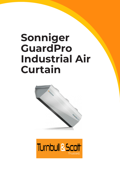# **Sonniger GuardPro Industrial Air Curtain**

**Sonniger GuardPro -** Industrial Air curtain



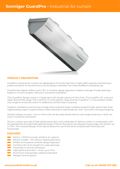## **Sonniger GuardPro -** Industrial Air curtain



### **PRODUCT DESCRIPTION**

GuardPro Industrial Air Curtains are designed to minimise heat loss in high traffic areas by maintaining a protective barrier at the entrance to the building or between two areas of different temperatures.

Powerful fans deliver airflow up to 7.5m. A modular design approach enables coverage of wide openings based on 1m & 2m lengths. Vertical or horizontal installation.

This 'GuardPro' Range comes in 3 types each with length options of 1.5m & 2m. The GuardPro 'W' is the hot water-fed (LPHW) range. The Guard Pro 'E' is the electric range and the GuardPro 'C' is the ambient air/fan only range for entrances where no additional comfort heat is required.

Suited to installation at entrances to large retail centres & shops, building reception halls, sports halls, loading/unloading bays in supermarkets, hotels, factories & warehouses etc. with lots traffic coming and going.

Modular design concept – two or more units can be used side by side to cover large entrances, in both vertical or horizontal orientation.

The Air curtains use a set of high-performance fans with a diameter of 450mm, which in combination with the appropriate and optimally selected shape of the air flow ducts has allowed a long range of air stream up to 7.5m. The universal design of the device allows the use of the same modules both vertically and horizontally.

#### **FEATURES**

- Electric, LPHW & no heat 'ambient air' options
- Electric models PTC electric heating elements
- Modern & innovative modular design approach
- Combine 1.5m & 2m lengths for wide openings
- Horizontal or vertical orientation
- High performance fans throw up to 7.5m
- Aluminium Grey powder coated as standard
	- Flexible Control options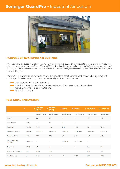# **Sonniger GuardPro -** Industrial Air curtain



## **PURPOSE OF GUARDPRO AIR CURTAINS**

The industrial air curtain range is intended to be used in areas with a moderate to cold climate, in spaces where temperature ranges from -15 to +40°C and with relative humidity up to 80% (at the temperature of +25°C), in conditions free from external factors such as pollens, hydrometeor (horizontal precipitation) and chemical vapors.

The GUARD PRO industrial air curtains are designed to protect against heat losses in the gateways of buildings of medium and high capacity especially such as the following:

- **Warehouse and production areas,** 
	- Loading/unloading sections in supermarkets and large commercial premises,
	- Car showrooms and service stations.
	- **Exhibition centres**

**TECHNICAL PARAMETERS**

| ÷                                    | ٠          | <b>Water-fed</b><br>٠<br>(LPHW) | <b>Water-fed</b><br>(LPHW) | # Electric      | $\div$ Electric | # Ambient Air | # Ambient Air |
|--------------------------------------|------------|---------------------------------|----------------------------|-----------------|-----------------|---------------|---------------|
|                                      |            | GuardPro 150W                   | GuardPro 200W              | GuardPro 150E   | GuardPro 200E   | GuardPro 150C | GuardPro 200C |
| Length                               | (m)        | 1.5                             | 2.0                        | 1.5             | $\overline{2}$  | 1.5           | 2.0           |
| Heat Output*                         | (kW)       | $24*$                           | $34*$                      | $\overline{14}$ | 21              | $\sim$        | $\sim$        |
| Max Airflow                          | (m3/h)     | 6,500                           | 9,000                      | 6,700           | 9,100           | 5,800         | 9,200         |
| Fan Input/Consump                    | (V/HZ & A) | 230/50 2.4A                     | 230/50 3.6A                | 230/50 2.4A     | 230/50 3.6A     | 230/50 2.4A   | 230/50 3.6A   |
| Fan Motor Power                      | (kW)       | 0.50                            | 0.75                       | 0.5             | 0.75            | 0.50          | 0.75          |
| <b>Electrical Element</b><br>Consump | (V/HZ & A) | ÷                               | i.                         | 400/5017A       | 400/50 29A      | $\omega$      | w             |
| Noise level                          | dB(A)      | 59                              | 61                         | 59              | 61              | 59            | 61            |
| Weight with/out water                | (kg)       | 46/44                           | 62/60                      |                 |                 | n/a/37        | n/a/51        |
| Protection class                     | IP         | IP 54                           | IP 54                      | IP 54           | IP 54           | IP 54         | IP 54         |

#### **www.turnbull-scott.co.uk Call us on: 01450 372 053**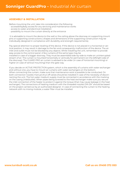## **ASSEMBLY & INSTALLATION**

Before mounting the unit, take into consideration the following:

- accessibility/easy access for any servicing and maintenance works
- access to water and electrical installation
- possibility to mount the curtain directly at the entrance

 It is advisable to mount the device to the wall or the ceiling above the doorway on supporting mount pins or supporting constructions ( shapes and dimensions of the supporting construction may be individually designed in compliance with durability and strength requirements).

Pay special attention to proper leveling of the device. If the device is not placed in a horizontal or vertical position, it may result in damage to the fan and consequently malfunction of the device. The air inlet and outlet must not be blocked by any objects. While installing the unit, remember to provide easy access to the control panel. A few curtains of the same type may be installed in case of a bigger doorway. They must be assembled side-by-side to make an uninterrupted

stream of air. The curtain is mounted horizontally or vertically for permanent (on the left/right side of the doorway). The GUARD PRO air curtain is advised to be wider (in case of horizontal mounting) or higher (in case of vertical mounting) than the gate way.

If you decide on ACTIVE PROTECTION system, which is the assembly of curtains with water exchanger and without one, you have to mount air curtains with water exchangers on the bottom. When connecting the curtain, make sure that maintenance work is possible to be conducted. On both connection nozzles manual shut-off valves should be installed in case of the necessity of disconnecting the unit. The hot water medium supply must be connected in accordance with the marking on the casing (inlet/outlet). When pipes being screwed to the heat exchanger make sure you secure the inlet connection of the heater to protect it against the torque (that may cause leakage in the heat exchanger). The connections of heating medium with the threaded nozzles DIN 3/4" should be based on the project carried out by an authorized designer. In case of connecting the curtain to the heating network with no mixing module, a water filter must be installed.